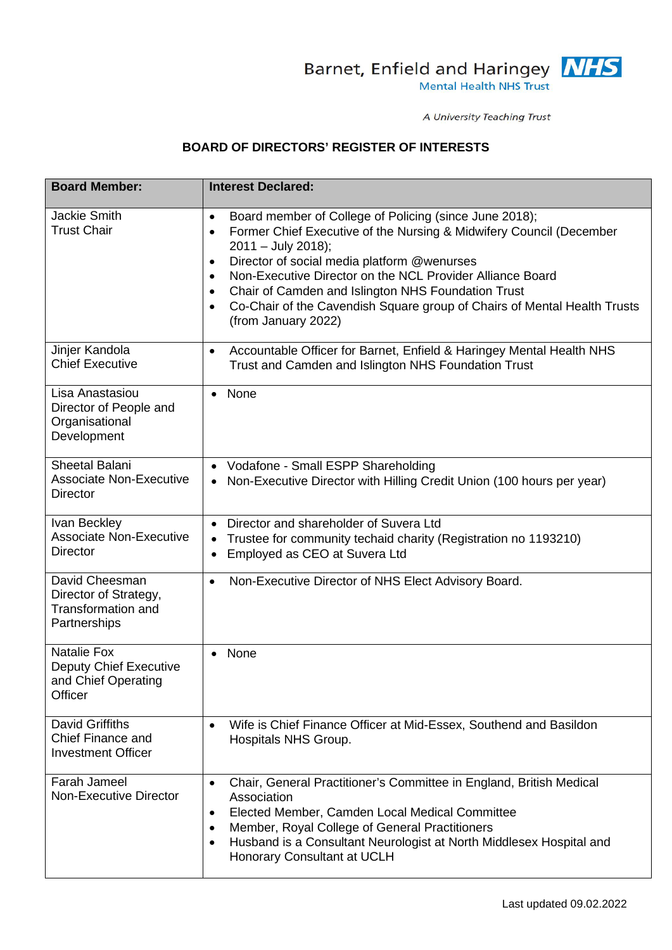

A University Teaching Trust

## **BOARD OF DIRECTORS' REGISTER OF INTERESTS**

| <b>Board Member:</b>                                                                  | <b>Interest Declared:</b>                                                                                                                                                                                                                                                                                                                                                                                                                                                                                |
|---------------------------------------------------------------------------------------|----------------------------------------------------------------------------------------------------------------------------------------------------------------------------------------------------------------------------------------------------------------------------------------------------------------------------------------------------------------------------------------------------------------------------------------------------------------------------------------------------------|
| <b>Jackie Smith</b><br><b>Trust Chair</b>                                             | Board member of College of Policing (since June 2018);<br>$\bullet$<br>Former Chief Executive of the Nursing & Midwifery Council (December<br>$\bullet$<br>$2011 - July 2018$ ;<br>Director of social media platform @wenurses<br>$\bullet$<br>Non-Executive Director on the NCL Provider Alliance Board<br>$\bullet$<br>Chair of Camden and Islington NHS Foundation Trust<br>$\bullet$<br>Co-Chair of the Cavendish Square group of Chairs of Mental Health Trusts<br>$\bullet$<br>(from January 2022) |
| Jinjer Kandola<br><b>Chief Executive</b>                                              | Accountable Officer for Barnet, Enfield & Haringey Mental Health NHS<br>$\bullet$<br>Trust and Camden and Islington NHS Foundation Trust                                                                                                                                                                                                                                                                                                                                                                 |
| Lisa Anastasiou<br>Director of People and<br>Organisational<br>Development            | None<br>$\bullet$                                                                                                                                                                                                                                                                                                                                                                                                                                                                                        |
| Sheetal Balani<br><b>Associate Non-Executive</b><br><b>Director</b>                   | Vodafone - Small ESPP Shareholding<br>$\bullet$<br>• Non-Executive Director with Hilling Credit Union (100 hours per year)                                                                                                                                                                                                                                                                                                                                                                               |
| Ivan Beckley<br><b>Associate Non-Executive</b><br><b>Director</b>                     | • Director and shareholder of Suvera Ltd<br>Trustee for community techaid charity (Registration no 1193210)<br>٠<br>Employed as CEO at Suvera Ltd<br>٠                                                                                                                                                                                                                                                                                                                                                   |
| David Cheesman<br>Director of Strategy,<br><b>Transformation and</b><br>Partnerships  | Non-Executive Director of NHS Elect Advisory Board.<br>$\bullet$                                                                                                                                                                                                                                                                                                                                                                                                                                         |
| <b>Natalie Fox</b><br><b>Deputy Chief Executive</b><br>and Chief Operating<br>Officer | None<br>$\bullet$                                                                                                                                                                                                                                                                                                                                                                                                                                                                                        |
| <b>David Griffiths</b><br><b>Chief Finance and</b><br><b>Investment Officer</b>       | Wife is Chief Finance Officer at Mid-Essex, Southend and Basildon<br>$\bullet$<br>Hospitals NHS Group.                                                                                                                                                                                                                                                                                                                                                                                                   |
| Farah Jameel<br>Non-Executive Director                                                | Chair, General Practitioner's Committee in England, British Medical<br>$\bullet$<br>Association<br>Elected Member, Camden Local Medical Committee<br>$\bullet$<br>Member, Royal College of General Practitioners<br>$\bullet$<br>Husband is a Consultant Neurologist at North Middlesex Hospital and<br>$\bullet$<br>Honorary Consultant at UCLH                                                                                                                                                         |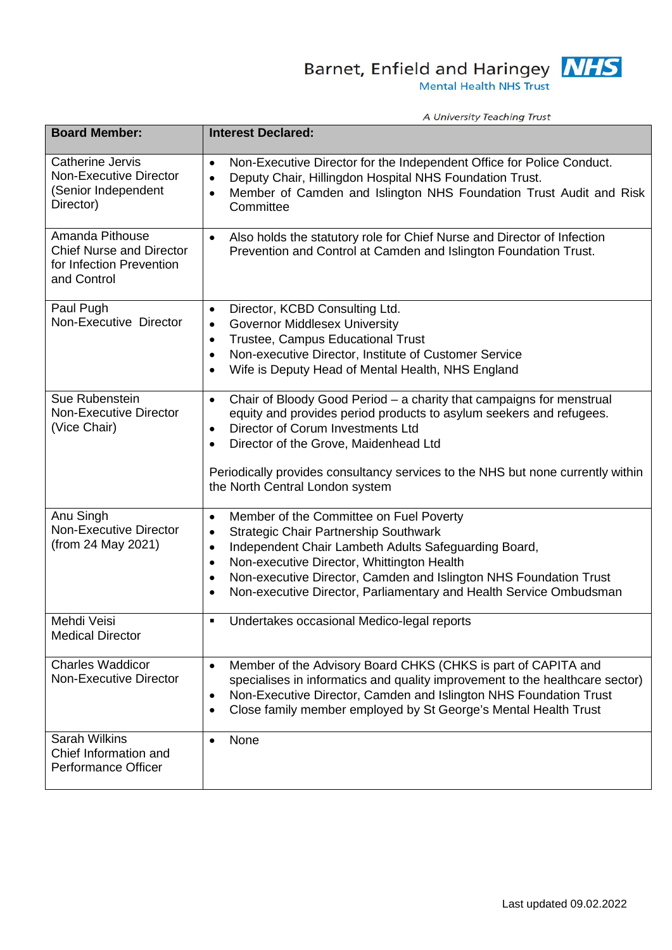Barnet, Enfield and Haringey **NHS** 

A University Teaching Trust

| <b>Board Member:</b>                                                                          | <b>Interest Declared:</b>                                                                                                                                                                                                                                                                                                                                                                                              |
|-----------------------------------------------------------------------------------------------|------------------------------------------------------------------------------------------------------------------------------------------------------------------------------------------------------------------------------------------------------------------------------------------------------------------------------------------------------------------------------------------------------------------------|
| <b>Catherine Jervis</b><br>Non-Executive Director<br>(Senior Independent<br>Director)         | Non-Executive Director for the Independent Office for Police Conduct.<br>$\bullet$<br>Deputy Chair, Hillingdon Hospital NHS Foundation Trust.<br>$\bullet$<br>Member of Camden and Islington NHS Foundation Trust Audit and Risk<br>$\bullet$<br>Committee                                                                                                                                                             |
| Amanda Pithouse<br><b>Chief Nurse and Director</b><br>for Infection Prevention<br>and Control | Also holds the statutory role for Chief Nurse and Director of Infection<br>$\bullet$<br>Prevention and Control at Camden and Islington Foundation Trust.                                                                                                                                                                                                                                                               |
| Paul Pugh<br>Non-Executive Director                                                           | Director, KCBD Consulting Ltd.<br>$\bullet$<br><b>Governor Middlesex University</b><br>$\bullet$<br>Trustee, Campus Educational Trust<br>$\bullet$<br>Non-executive Director, Institute of Customer Service<br>$\bullet$<br>Wife is Deputy Head of Mental Health, NHS England<br>$\bullet$                                                                                                                             |
| Sue Rubenstein<br><b>Non-Executive Director</b><br>(Vice Chair)                               | Chair of Bloody Good Period - a charity that campaigns for menstrual<br>$\bullet$<br>equity and provides period products to asylum seekers and refugees.<br>Director of Corum Investments Ltd<br>$\bullet$<br>Director of the Grove, Maidenhead Ltd<br>$\bullet$<br>Periodically provides consultancy services to the NHS but none currently within<br>the North Central London system                                 |
| Anu Singh<br><b>Non-Executive Director</b><br>(from 24 May 2021)                              | Member of the Committee on Fuel Poverty<br>$\bullet$<br><b>Strategic Chair Partnership Southwark</b><br>$\bullet$<br>Independent Chair Lambeth Adults Safeguarding Board,<br>$\bullet$<br>Non-executive Director, Whittington Health<br>$\bullet$<br>Non-executive Director, Camden and Islington NHS Foundation Trust<br>$\bullet$<br>Non-executive Director, Parliamentary and Health Service Ombudsman<br>$\bullet$ |
| Mehdi Veisi<br><b>Medical Director</b>                                                        | Undertakes occasional Medico-legal reports<br>٠                                                                                                                                                                                                                                                                                                                                                                        |
| <b>Charles Waddicor</b><br>Non-Executive Director                                             | Member of the Advisory Board CHKS (CHKS is part of CAPITA and<br>$\bullet$<br>specialises in informatics and quality improvement to the healthcare sector)<br>Non-Executive Director, Camden and Islington NHS Foundation Trust<br>$\bullet$<br>Close family member employed by St George's Mental Health Trust<br>$\bullet$                                                                                           |
| <b>Sarah Wilkins</b><br>Chief Information and<br><b>Performance Officer</b>                   | None<br>$\bullet$                                                                                                                                                                                                                                                                                                                                                                                                      |